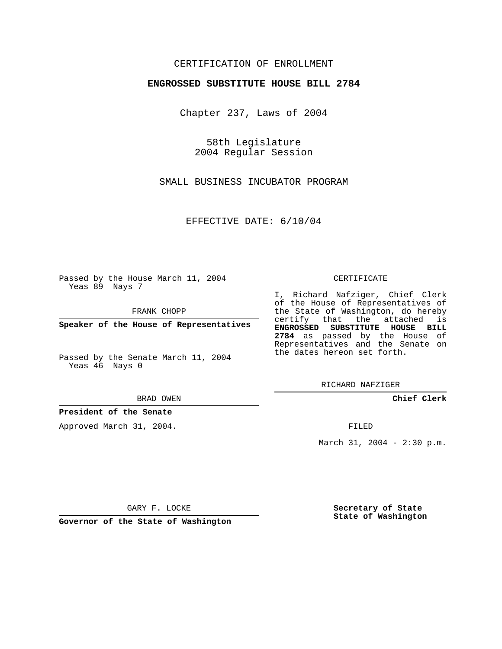# CERTIFICATION OF ENROLLMENT

## **ENGROSSED SUBSTITUTE HOUSE BILL 2784**

Chapter 237, Laws of 2004

58th Legislature 2004 Regular Session

SMALL BUSINESS INCUBATOR PROGRAM

EFFECTIVE DATE: 6/10/04

Passed by the House March 11, 2004 Yeas 89 Nays 7

FRANK CHOPP

**Speaker of the House of Representatives**

Passed by the Senate March 11, 2004 Yeas 46 Nays 0

BRAD OWEN

# **President of the Senate**

Approved March 31, 2004.

#### CERTIFICATE

I, Richard Nafziger, Chief Clerk of the House of Representatives of the State of Washington, do hereby certify that the attached is **ENGROSSED SUBSTITUTE HOUSE BILL 2784** as passed by the House of Representatives and the Senate on the dates hereon set forth.

RICHARD NAFZIGER

**Chief Clerk**

FILED

March 31, 2004 - 2:30 p.m.

GARY F. LOCKE

**Governor of the State of Washington**

**Secretary of State State of Washington**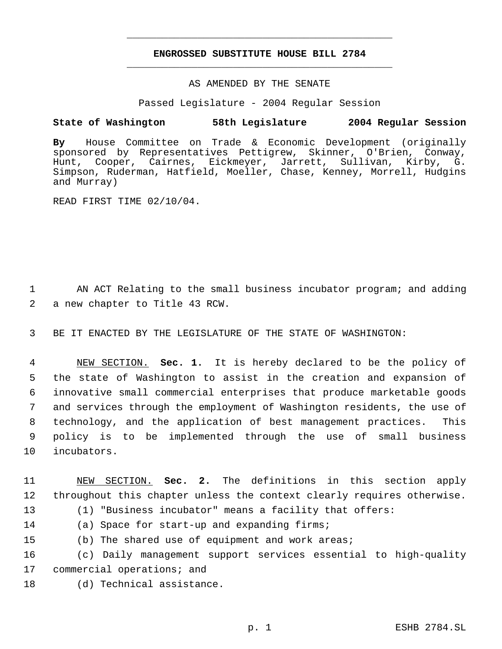# **ENGROSSED SUBSTITUTE HOUSE BILL 2784** \_\_\_\_\_\_\_\_\_\_\_\_\_\_\_\_\_\_\_\_\_\_\_\_\_\_\_\_\_\_\_\_\_\_\_\_\_\_\_\_\_\_\_\_\_

\_\_\_\_\_\_\_\_\_\_\_\_\_\_\_\_\_\_\_\_\_\_\_\_\_\_\_\_\_\_\_\_\_\_\_\_\_\_\_\_\_\_\_\_\_

## AS AMENDED BY THE SENATE

Passed Legislature - 2004 Regular Session

# **State of Washington 58th Legislature 2004 Regular Session**

**By** House Committee on Trade & Economic Development (originally sponsored by Representatives Pettigrew, Skinner, O'Brien, Conway, Hunt, Cooper, Cairnes, Eickmeyer, Jarrett, Sullivan, Kirby, G. Simpson, Ruderman, Hatfield, Moeller, Chase, Kenney, Morrell, Hudgins and Murray)

READ FIRST TIME 02/10/04.

1 AN ACT Relating to the small business incubator program; and adding 2 a new chapter to Title 43 RCW.

3 BE IT ENACTED BY THE LEGISLATURE OF THE STATE OF WASHINGTON:

 NEW SECTION. **Sec. 1.** It is hereby declared to be the policy of the state of Washington to assist in the creation and expansion of innovative small commercial enterprises that produce marketable goods and services through the employment of Washington residents, the use of technology, and the application of best management practices. This policy is to be implemented through the use of small business incubators.

11 NEW SECTION. **Sec. 2.** The definitions in this section apply 12 throughout this chapter unless the context clearly requires otherwise.

13 (1) "Business incubator" means a facility that offers:

14 (a) Space for start-up and expanding firms;

15 (b) The shared use of equipment and work areas;

16 (c) Daily management support services essential to high-quality 17 commercial operations; and

18 (d) Technical assistance.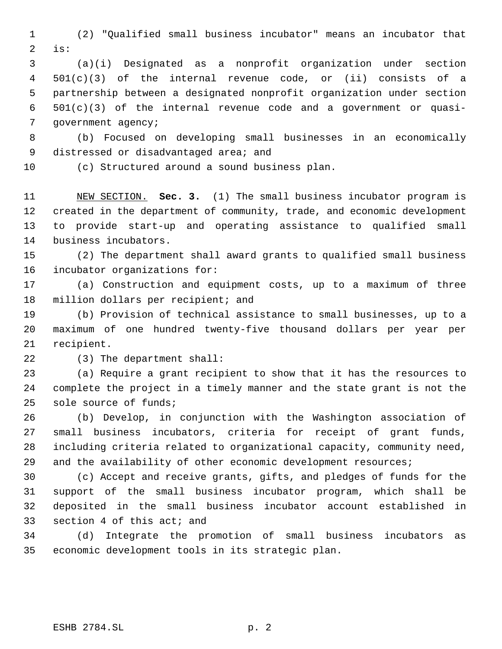(2) "Qualified small business incubator" means an incubator that is:

 (a)(i) Designated as a nonprofit organization under section 501(c)(3) of the internal revenue code, or (ii) consists of a partnership between a designated nonprofit organization under section 501(c)(3) of the internal revenue code and a government or quasi- government agency;

 (b) Focused on developing small businesses in an economically 9 distressed or disadvantaged area; and

(c) Structured around a sound business plan.

 NEW SECTION. **Sec. 3.** (1) The small business incubator program is created in the department of community, trade, and economic development to provide start-up and operating assistance to qualified small business incubators.

 (2) The department shall award grants to qualified small business incubator organizations for:

 (a) Construction and equipment costs, up to a maximum of three 18 million dollars per recipient; and

 (b) Provision of technical assistance to small businesses, up to a maximum of one hundred twenty-five thousand dollars per year per recipient.

(3) The department shall:

 (a) Require a grant recipient to show that it has the resources to complete the project in a timely manner and the state grant is not the sole source of funds;

 (b) Develop, in conjunction with the Washington association of small business incubators, criteria for receipt of grant funds, including criteria related to organizational capacity, community need, 29 and the availability of other economic development resources;

 (c) Accept and receive grants, gifts, and pledges of funds for the support of the small business incubator program, which shall be deposited in the small business incubator account established in section 4 of this act; and

 (d) Integrate the promotion of small business incubators as economic development tools in its strategic plan.